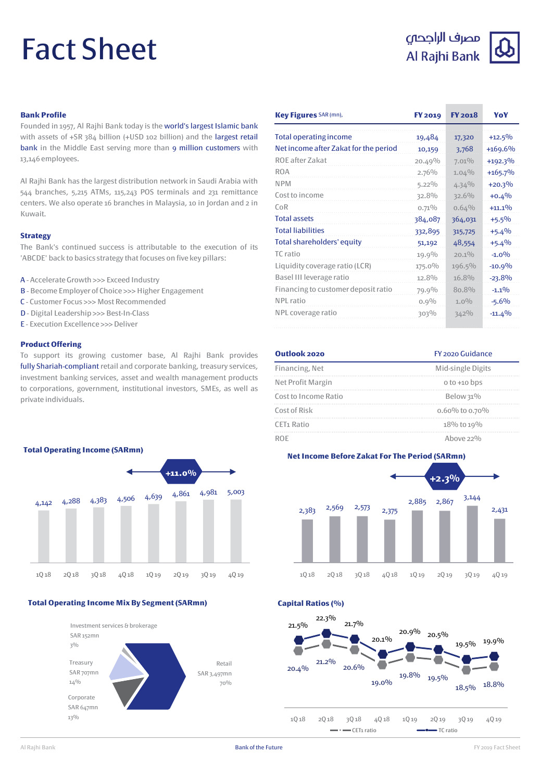# Fact Sheet

# مصرف الراجحى Al Rajhi Bank



# **Bank Profile**

Founded in 1957, Al Rajhi Bank today is the world's largest Islamic bank with assets of +SR 384 billion (+USD 102 billion) and the largest retail bank in the Middle East serving more than 9 million customers with 13,146 employees.

Al Rajhi Bank has the largest distribution network in Saudi Arabia with 544 branches, 5,215 ATMs, 115,243 POS terminals and 231 remittance centers. We also operate 16 branches in Malaysia, 10 in Jordan and 2 in Kuwait.

#### **Strategy**

The Bank's continued success is attributable to the execution of its 'ABCDE' back to basics strategy that focuses on five key pillars:

- A Accelerate Growth >>> Exceed Industry
- B Become Employer of Choice >>> Higher Engagement
- C Customer Focus >>> Most Recommended
- D Digital Leadership >>> Best-In-Class
- E Execution Excellence >>>Deliver

### **Product Offering**

To support its growing customer base, Al Rajhi Bank provides fully Shariah-compliant retail and corporate banking, treasury services, investment banking services, asset and wealth management products to corporations, government, institutional investors, SMEs, as well as private individuals.



### **Total Operating Income Mix By Segment (SARmn)**



| Key Figures SAR (mn),                 | <b>FY 2019</b> | <b>FY 2018</b> | YoY        |
|---------------------------------------|----------------|----------------|------------|
| <b>Total operating income</b>         | 19,484         | 17,320         | $+12.5%$   |
| Net income after Zakat for the period | 10,159         | 3,768          | $+169.6%$  |
| ROE after Zakat                       | $20.49\%$      | 7.01%          | $+192.3\%$ |
| <b>ROA</b>                            | 2.76%          | 1.04%          | $+165.7%$  |
| <b>NPM</b>                            | $5.22\%$       | 4.34%          | $+20.3%$   |
| Cost to income                        | 32.8%          | 32.6%          | $+0.4%$    |
| $C_0R$                                | $0.71\%$       | 0.64%          | $+11.1\%$  |
| <b>Total assets</b>                   | 384,087        | 364,031        | $+5.5%$    |
| <b>Total liabilities</b>              | 332,895        | 315,725        | $+5.4%$    |
| Total shareholders' equity            | 51,192         | 48,554         | $+5.4%$    |
| TC ratio                              | 19.9%          | $20.1\%$       | $-1.0\%$   |
| Liquidity coverage ratio (LCR)        | 175.0%         | 196.5%         | $-10.9%$   |
| Basel III leverage ratio              | 12.8%          | 16.8%          | $-23.8%$   |
| Financing to customer deposit ratio   | 79.9%          | 80.8%          | $-1.1\%$   |
| NPI ratio                             | $0.9\%$        | $1.0\%$        | $-5.6%$    |
| NPL coverage ratio                    | 303%           | 342%           | $-11.4%$   |

| Outlook 2020           | FY 2020 Guidance  |  |
|------------------------|-------------------|--|
| Financing, Net         | Mid-single Digits |  |
| Net Profit Margin      | $0$ to $+10$ bps  |  |
| Cost to Income Ratio   | Below 31%         |  |
| Cost of Risk           | 0.60% to 0.70%    |  |
| CET <sub>1</sub> Ratio | 18% to 19%        |  |
|                        | Ahove $22\%$      |  |



**Capital Ratios (%)**



**Total Operating Income (SARmn)**